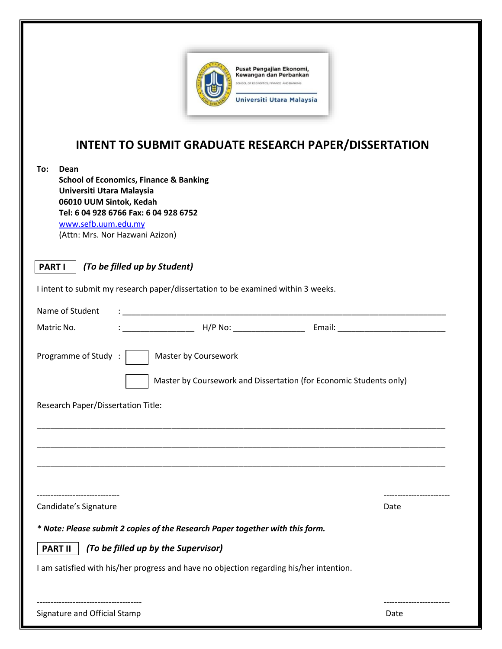

## **INTENT TO SUBMIT GRADUATE RESEARCH PAPER/DISSERTATION**

| To:<br>Dean<br><b>School of Economics, Finance &amp; Banking</b><br>Universiti Utara Malaysia<br>06010 UUM Sintok, Kedah<br>Tel: 6 04 928 6766 Fax: 6 04 928 6752<br>www.sefb.uum.edu.my<br>(Attn: Mrs. Nor Hazwani Azizon) |      |  |
|-----------------------------------------------------------------------------------------------------------------------------------------------------------------------------------------------------------------------------|------|--|
| (To be filled up by Student)<br><b>PART I</b>                                                                                                                                                                               |      |  |
| I intent to submit my research paper/dissertation to be examined within 3 weeks.                                                                                                                                            |      |  |
| Name of Student                                                                                                                                                                                                             |      |  |
| <b>Email:</b> H/P No: <b>Email:</b> All P No: <b>Email: Email: Email: Email: Email: Email: Email: Email: Email: Email: Email: Email: Email: Email: Email: Email: Email: Email: Email: Email: Email</b><br>Matric No.        |      |  |
| Programme of Study:<br>Master by Coursework<br>Master by Coursework and Dissertation (for Economic Students only)<br>Research Paper/Dissertation Title:                                                                     |      |  |
|                                                                                                                                                                                                                             |      |  |
| Candidate's Signature                                                                                                                                                                                                       | Date |  |
| * Note: Please submit 2 copies of the Research Paper together with this form.                                                                                                                                               |      |  |
| <b>PART II</b><br>(To be filled up by the Supervisor)                                                                                                                                                                       |      |  |
| I am satisfied with his/her progress and have no objection regarding his/her intention.                                                                                                                                     |      |  |
| Signature and Official Stamp                                                                                                                                                                                                | Date |  |